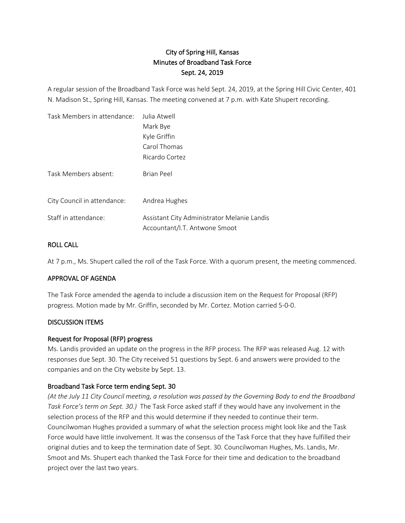# City of Spring Hill, Kansas Minutes of Broadband Task Force Sept. 24, 2019

A regular session of the Broadband Task Force was held Sept. 24, 2019, at the Spring Hill Civic Center, 401 N. Madison St., Spring Hill, Kansas. The meeting convened at 7 p.m. with Kate Shupert recording.

| Task Members in attendance: | Julia Atwell                                                                 |
|-----------------------------|------------------------------------------------------------------------------|
|                             | Mark Bye                                                                     |
|                             | Kyle Griffin                                                                 |
|                             | Carol Thomas                                                                 |
|                             | Ricardo Cortez                                                               |
| Task Members absent:        | Brian Peel                                                                   |
| City Council in attendance: | Andrea Hughes                                                                |
| Staff in attendance:        | Assistant City Administrator Melanie Landis<br>Accountant/I.T. Antwone Smoot |

## ROLL CALL

At 7 p.m., Ms. Shupert called the roll of the Task Force. With a quorum present, the meeting commenced.

#### APPROVAL OF AGENDA

The Task Force amended the agenda to include a discussion item on the Request for Proposal (RFP) progress. Motion made by Mr. Griffin, seconded by Mr. Cortez. Motion carried 5-0-0.

#### DISCUSSION ITEMS

#### Request for Proposal (RFP) progress

Ms. Landis provided an update on the progress in the RFP process. The RFP was released Aug. 12 with responses due Sept. 30. The City received 51 questions by Sept. 6 and answers were provided to the companies and on the City website by Sept. 13.

# Broadband Task Force term ending Sept. 30

*(At the July 11 City Council meeting, a resolution was passed by the Governing Body to end the Broadband Task Force's term on Sept. 30.)* The Task Force asked staff if they would have any involvement in the selection process of the RFP and this would determine if they needed to continue their term. Councilwoman Hughes provided a summary of what the selection process might look like and the Task Force would have little involvement. It was the consensus of the Task Force that they have fulfilled their original duties and to keep the termination date of Sept. 30. Councilwoman Hughes, Ms. Landis, Mr. Smoot and Ms. Shupert each thanked the Task Force for their time and dedication to the broadband project over the last two years.